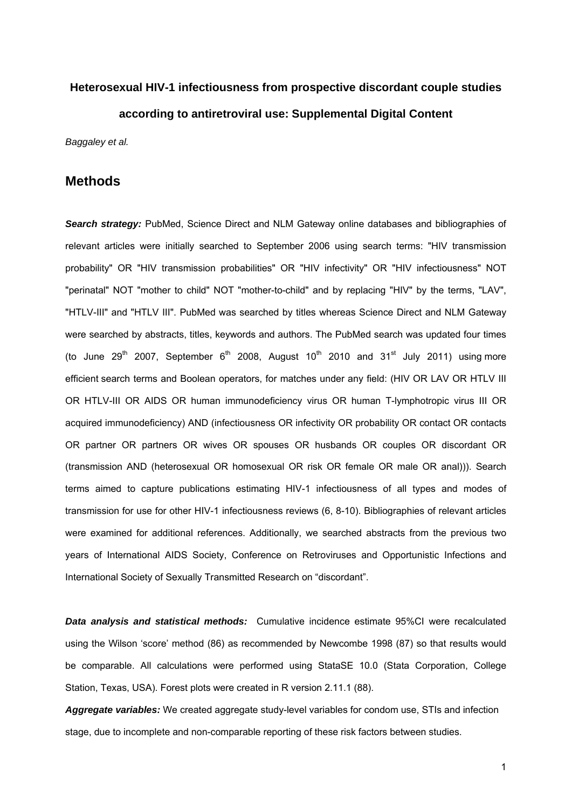# **Heterosexual HIV-1 infectiousness from prospective discordant couple studies according to antiretroviral use: Supplemental Digital Content**

*Baggaley et al.* 

#### **Methods**

*Search strategy:* PubMed, Science Direct and NLM Gateway online databases and bibliographies of relevant articles were initially searched to September 2006 using search terms: "HIV transmission probability" OR "HIV transmission probabilities" OR "HIV infectivity" OR "HIV infectiousness" NOT "perinatal" NOT "mother to child" NOT "mother-to-child" and by replacing "HIV" by the terms, "LAV", "HTLV-III" and "HTLV III". PubMed was searched by titles whereas Science Direct and NLM Gateway were searched by abstracts, titles, keywords and authors. The PubMed search was updated four times (to June  $29<sup>th</sup>$  2007, September  $6<sup>th</sup>$  2008, August  $10<sup>th</sup>$  2010 and  $31<sup>st</sup>$  July 2011) using more efficient search terms and Boolean operators, for matches under any field: (HIV OR LAV OR HTLV III OR HTLV-III OR AIDS OR human immunodeficiency virus OR human T-lymphotropic virus III OR acquired immunodeficiency) AND (infectiousness OR infectivity OR probability OR contact OR contacts OR partner OR partners OR wives OR spouses OR husbands OR couples OR discordant OR (transmission AND (heterosexual OR homosexual OR risk OR female OR male OR anal))). Search terms aimed to capture publications estimating HIV-1 infectiousness of all types and modes of transmission for use for other HIV-1 infectiousness reviews (6, 8-10). Bibliographies of relevant articles were examined for additional references. Additionally, we searched abstracts from the previous two years of International AIDS Society, Conference on Retroviruses and Opportunistic Infections and International Society of Sexually Transmitted Research on "discordant".

**Data analysis and statistical methods:** Cumulative incidence estimate 95%CI were recalculated using the Wilson 'score' method (86) as recommended by Newcombe 1998 (87) so that results would be comparable. All calculations were performed using StataSE 10.0 (Stata Corporation, College Station, Texas, USA). Forest plots were created in R version 2.11.1 (88).

*Aggregate variables:* We created aggregate study-level variables for condom use, STIs and infection stage, due to incomplete and non-comparable reporting of these risk factors between studies.

1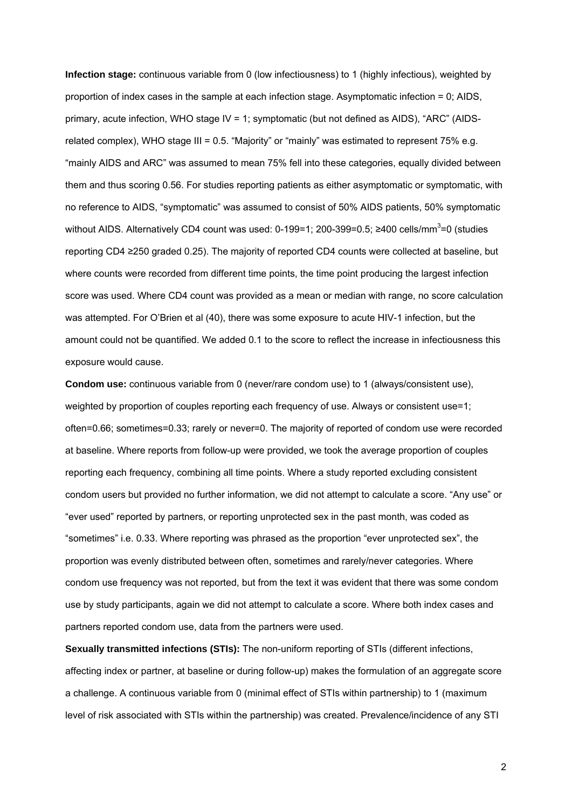**Infection stage:** continuous variable from 0 (low infectiousness) to 1 (highly infectious), weighted by proportion of index cases in the sample at each infection stage. Asymptomatic infection = 0; AIDS, primary, acute infection, WHO stage IV = 1; symptomatic (but not defined as AIDS), "ARC" (AIDSrelated complex), WHO stage III = 0.5. "Majority" or "mainly" was estimated to represent 75% e.g. "mainly AIDS and ARC" was assumed to mean 75% fell into these categories, equally divided between them and thus scoring 0.56. For studies reporting patients as either asymptomatic or symptomatic, with no reference to AIDS, "symptomatic" was assumed to consist of 50% AIDS patients, 50% symptomatic without AIDS. Alternatively CD4 count was used: 0-199=1; 200-399=0.5; ≥400 cells/mm<sup>3</sup>=0 (studies reporting CD4 ≥250 graded 0.25). The majority of reported CD4 counts were collected at baseline, but where counts were recorded from different time points, the time point producing the largest infection score was used. Where CD4 count was provided as a mean or median with range, no score calculation was attempted. For O'Brien et al (40), there was some exposure to acute HIV-1 infection, but the amount could not be quantified. We added 0.1 to the score to reflect the increase in infectiousness this exposure would cause.

**Condom use:** continuous variable from 0 (never/rare condom use) to 1 (always/consistent use), weighted by proportion of couples reporting each frequency of use. Always or consistent use=1; often=0.66; sometimes=0.33; rarely or never=0. The majority of reported of condom use were recorded at baseline. Where reports from follow-up were provided, we took the average proportion of couples reporting each frequency, combining all time points. Where a study reported excluding consistent condom users but provided no further information, we did not attempt to calculate a score. "Any use" or "ever used" reported by partners, or reporting unprotected sex in the past month, was coded as "sometimes" i.e. 0.33. Where reporting was phrased as the proportion "ever unprotected sex", the proportion was evenly distributed between often, sometimes and rarely/never categories. Where condom use frequency was not reported, but from the text it was evident that there was some condom use by study participants, again we did not attempt to calculate a score. Where both index cases and partners reported condom use, data from the partners were used.

**Sexually transmitted infections (STIs):** The non-uniform reporting of STIs (different infections, affecting index or partner, at baseline or during follow-up) makes the formulation of an aggregate score a challenge. A continuous variable from 0 (minimal effect of STIs within partnership) to 1 (maximum level of risk associated with STIs within the partnership) was created. Prevalence/incidence of any STI

2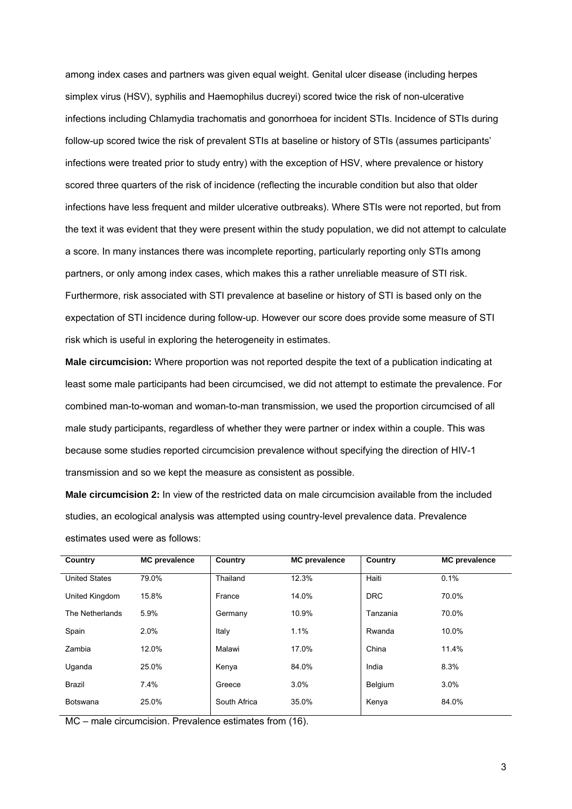among index cases and partners was given equal weight. Genital ulcer disease (including herpes simplex virus (HSV), syphilis and Haemophilus ducreyi) scored twice the risk of non-ulcerative infections including Chlamydia trachomatis and gonorrhoea for incident STIs. Incidence of STIs during follow-up scored twice the risk of prevalent STIs at baseline or history of STIs (assumes participants' infections were treated prior to study entry) with the exception of HSV, where prevalence or history scored three quarters of the risk of incidence (reflecting the incurable condition but also that older infections have less frequent and milder ulcerative outbreaks). Where STIs were not reported, but from the text it was evident that they were present within the study population, we did not attempt to calculate a score. In many instances there was incomplete reporting, particularly reporting only STIs among partners, or only among index cases, which makes this a rather unreliable measure of STI risk. Furthermore, risk associated with STI prevalence at baseline or history of STI is based only on the expectation of STI incidence during follow-up. However our score does provide some measure of STI risk which is useful in exploring the heterogeneity in estimates.

**Male circumcision:** Where proportion was not reported despite the text of a publication indicating at least some male participants had been circumcised, we did not attempt to estimate the prevalence. For combined man-to-woman and woman-to-man transmission, we used the proportion circumcised of all male study participants, regardless of whether they were partner or index within a couple. This was because some studies reported circumcision prevalence without specifying the direction of HIV-1 transmission and so we kept the measure as consistent as possible.

**Male circumcision 2:** In view of the restricted data on male circumcision available from the included studies, an ecological analysis was attempted using country-level prevalence data. Prevalence estimates used were as follows:

| Country              | <b>MC</b> prevalence | Country      | <b>MC</b> prevalence | Country    | <b>MC</b> prevalence |
|----------------------|----------------------|--------------|----------------------|------------|----------------------|
| <b>United States</b> | 79.0%                | Thailand     | 12.3%                | Haiti      | 0.1%                 |
| United Kingdom       | 15.8%                | France       | 14.0%                | <b>DRC</b> | 70.0%                |
| The Netherlands      | 5.9%                 | Germany      | 10.9%                | Tanzania   | 70.0%                |
| Spain                | 2.0%                 | Italy        | 1.1%                 | Rwanda     | 10.0%                |
| Zambia               | 12.0%                | Malawi       | 17.0%                | China      | 11.4%                |
| Uganda               | 25.0%                | Kenya        | 84.0%                | India      | 8.3%                 |
| <b>Brazil</b>        | 7.4%                 | Greece       | 3.0%                 | Belgium    | 3.0%                 |
| Botswana             | 25.0%                | South Africa | 35.0%                | Kenya      | 84.0%                |
|                      |                      |              |                      |            |                      |

MC – male circumcision. Prevalence estimates from (16).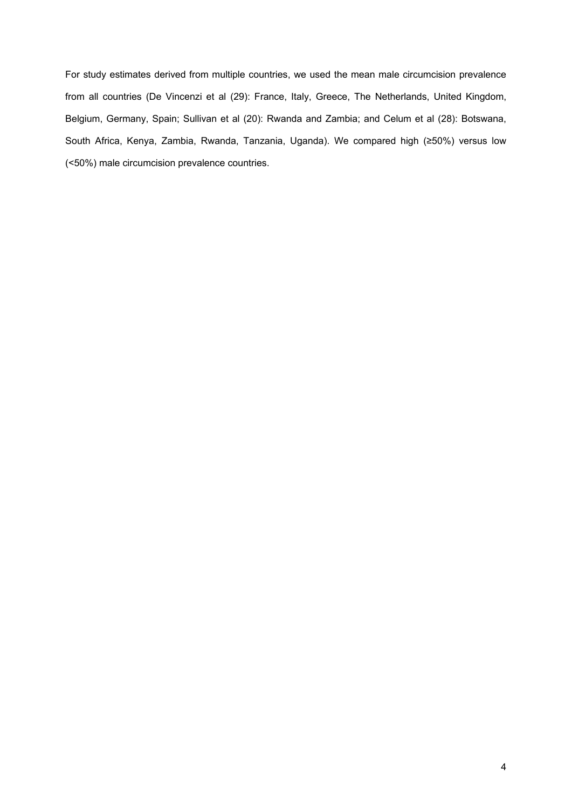For study estimates derived from multiple countries, we used the mean male circumcision prevalence from all countries (De Vincenzi et al (29): France, Italy, Greece, The Netherlands, United Kingdom, Belgium, Germany, Spain; Sullivan et al (20): Rwanda and Zambia; and Celum et al (28): Botswana, South Africa, Kenya, Zambia, Rwanda, Tanzania, Uganda). We compared high (≥50%) versus low (<50%) male circumcision prevalence countries.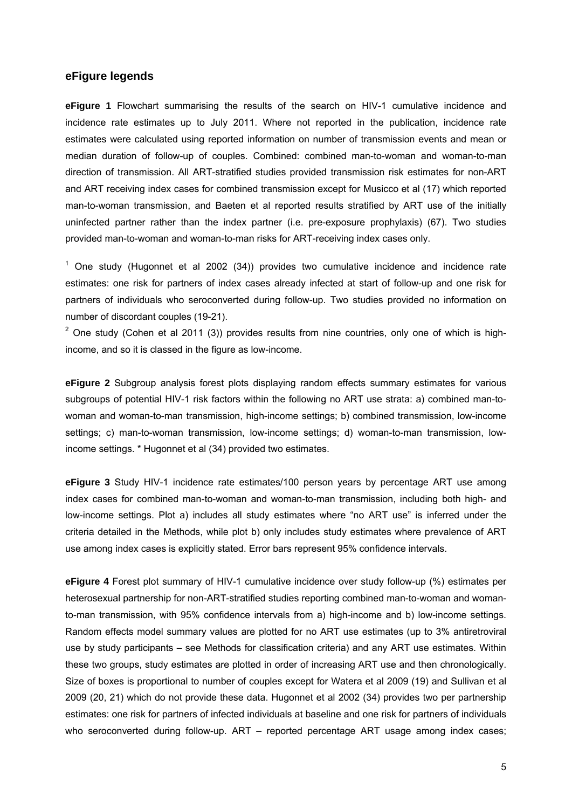#### **eFigure legends**

**eFigure 1** Flowchart summarising the results of the search on HIV-1 cumulative incidence and incidence rate estimates up to July 2011. Where not reported in the publication, incidence rate estimates were calculated using reported information on number of transmission events and mean or median duration of follow-up of couples. Combined: combined man-to-woman and woman-to-man direction of transmission. All ART-stratified studies provided transmission risk estimates for non-ART and ART receiving index cases for combined transmission except for Musicco et al (17) which reported man-to-woman transmission, and Baeten et al reported results stratified by ART use of the initially uninfected partner rather than the index partner (i.e. pre-exposure prophylaxis) (67). Two studies provided man-to-woman and woman-to-man risks for ART-receiving index cases only.

 $1$  One study (Hugonnet et al 2002 (34)) provides two cumulative incidence and incidence rate estimates: one risk for partners of index cases already infected at start of follow-up and one risk for partners of individuals who seroconverted during follow-up. Two studies provided no information on number of discordant couples (19-21).

 $2$  One study (Cohen et al 2011 (3)) provides results from nine countries, only one of which is highincome, and so it is classed in the figure as low-income.

**eFigure 2** Subgroup analysis forest plots displaying random effects summary estimates for various subgroups of potential HIV-1 risk factors within the following no ART use strata: a) combined man-towoman and woman-to-man transmission, high-income settings; b) combined transmission, low-income settings; c) man-to-woman transmission, low-income settings; d) woman-to-man transmission, lowincome settings. \* Hugonnet et al (34) provided two estimates.

**eFigure 3** Study HIV-1 incidence rate estimates/100 person years by percentage ART use among index cases for combined man-to-woman and woman-to-man transmission, including both high- and low-income settings. Plot a) includes all study estimates where "no ART use" is inferred under the criteria detailed in the Methods, while plot b) only includes study estimates where prevalence of ART use among index cases is explicitly stated. Error bars represent 95% confidence intervals.

**eFigure 4** Forest plot summary of HIV-1 cumulative incidence over study follow-up (%) estimates per heterosexual partnership for non-ART-stratified studies reporting combined man-to-woman and womanto-man transmission, with 95% confidence intervals from a) high-income and b) low-income settings. Random effects model summary values are plotted for no ART use estimates (up to 3% antiretroviral use by study participants – see Methods for classification criteria) and any ART use estimates. Within these two groups, study estimates are plotted in order of increasing ART use and then chronologically. Size of boxes is proportional to number of couples except for Watera et al 2009 (19) and Sullivan et al 2009 (20, 21) which do not provide these data. Hugonnet et al 2002 (34) provides two per partnership estimates: one risk for partners of infected individuals at baseline and one risk for partners of individuals who seroconverted during follow-up. ART – reported percentage ART usage among index cases;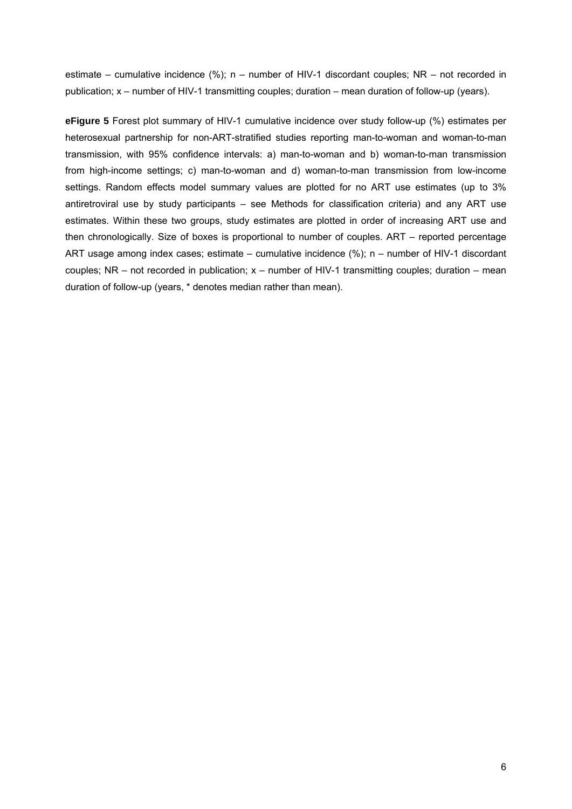estimate – cumulative incidence (%); n – number of HIV-1 discordant couples; NR – not recorded in publication; x – number of HIV-1 transmitting couples; duration – mean duration of follow-up (years).

**eFigure 5** Forest plot summary of HIV-1 cumulative incidence over study follow-up (%) estimates per heterosexual partnership for non-ART-stratified studies reporting man-to-woman and woman-to-man transmission, with 95% confidence intervals: a) man-to-woman and b) woman-to-man transmission from high-income settings; c) man-to-woman and d) woman-to-man transmission from low-income settings. Random effects model summary values are plotted for no ART use estimates (up to 3% antiretroviral use by study participants – see Methods for classification criteria) and any ART use estimates. Within these two groups, study estimates are plotted in order of increasing ART use and then chronologically. Size of boxes is proportional to number of couples. ART – reported percentage ART usage among index cases; estimate – cumulative incidence (%); n – number of HIV-1 discordant couples;  $NR - not recorded in publication$ ;  $x - number of HIV-1 transmitting couples$ ; duration – mean duration of follow-up (years, \* denotes median rather than mean).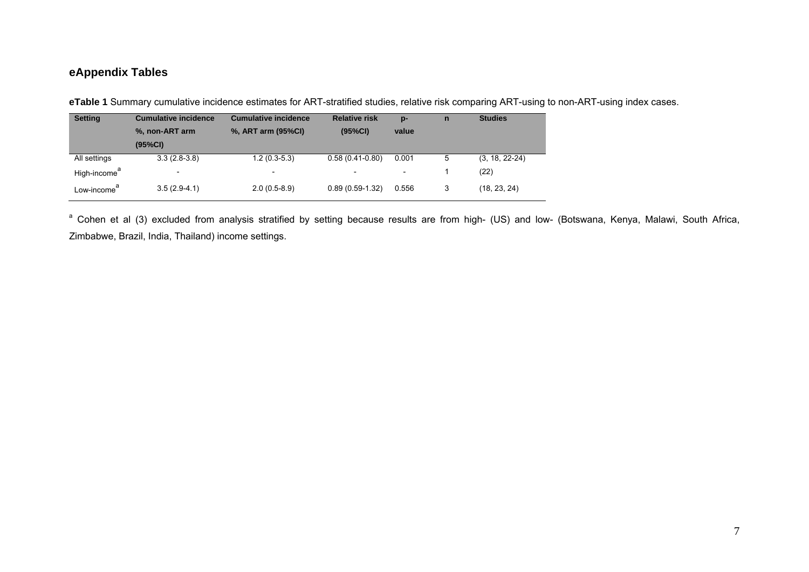### **eAppendix Tables**

| eTable 1 Summary cumulative incidence estimates for ART-stratified studies, relative risk comparing ART-using to non-ART-using index cases. |  |  |  |
|---------------------------------------------------------------------------------------------------------------------------------------------|--|--|--|
|                                                                                                                                             |  |  |  |

| <b>Setting</b>           | <b>Cumulative incidence</b> | <b>Cumulative incidence</b> | <b>Relative risk</b> | $p-$                     | n | <b>Studies</b>   |
|--------------------------|-----------------------------|-----------------------------|----------------------|--------------------------|---|------------------|
|                          | %, non-ART arm              | %, ART arm (95%CI)          | (95%CI)              | value                    |   |                  |
|                          | (95%CI)                     |                             |                      |                          |   |                  |
| All settings             | $3.3(2.8-3.8)$              | $1.2(0.3-5.3)$              | $0.58(0.41-0.80)$    | 0.001                    | 5 | $(3, 18, 22-24)$ |
| High-income <sup>a</sup> | $\overline{\phantom{0}}$    | $\overline{\phantom{a}}$    |                      | $\overline{\phantom{a}}$ |   | (22)             |
| Low-income <sup>a</sup>  | $3.5(2.9-4.1)$              | $2.0(0.5-8.9)$              | $0.89(0.59-1.32)$    | 0.556                    | 3 | (18, 23, 24)     |

<sup>a</sup> Cohen et al (3) excluded from analysis stratified by setting because results are from high- (US) and low- (Botswana, Kenya, Malawi, South Africa, Zimbabwe, Brazil, India, Thailand) income settings.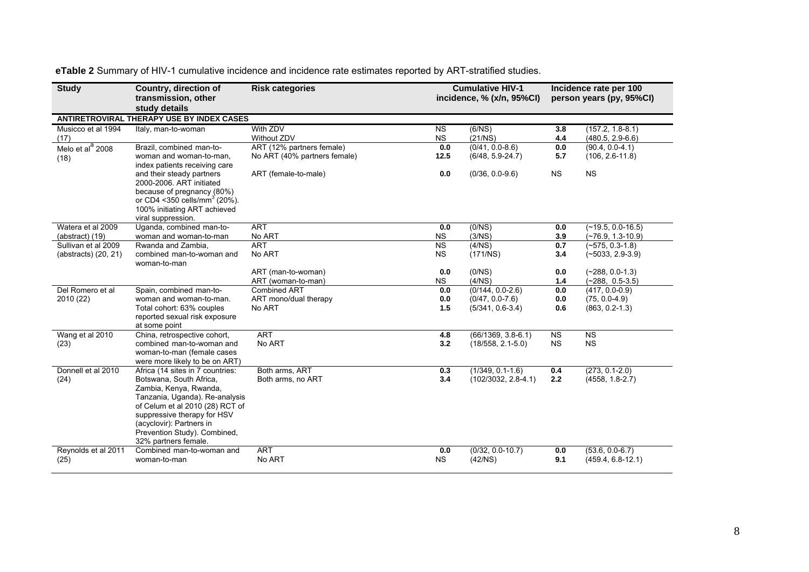| <b>Study</b>                                | <b>Country, direction of</b><br>transmission, other<br>study details                                                                                                                                                                                                          | <b>Risk categories</b>                                    |                        | <b>Cumulative HIV-1</b><br>incidence, % (x/n, 95%Cl)            | Incidence rate per 100<br>person years (py, 95%CI) |                                                             |  |  |
|---------------------------------------------|-------------------------------------------------------------------------------------------------------------------------------------------------------------------------------------------------------------------------------------------------------------------------------|-----------------------------------------------------------|------------------------|-----------------------------------------------------------------|----------------------------------------------------|-------------------------------------------------------------|--|--|
|                                             | ANTIRETROVIRAL THERAPY USE BY INDEX CASES                                                                                                                                                                                                                                     |                                                           |                        |                                                                 |                                                    |                                                             |  |  |
| Musicco et al 1994<br>(17)                  | Italy, man-to-woman                                                                                                                                                                                                                                                           | With ZDV<br>Without ZDV                                   | <b>NS</b><br>NS        | (6/NS)<br>(21/NS)                                               | 3.8<br>4.4                                         | $(157.2, 1.8-8.1)$<br>$(480.5, 2.9-6.6)$                    |  |  |
| Melo et al <sup>a</sup> 2008<br>(18)        | Brazil, combined man-to-<br>woman and woman-to-man.<br>index patients receiving care                                                                                                                                                                                          | ART (12% partners female)<br>No ART (40% partners female) | 0.0<br>12.5            | $(0/41, 0.0-8.6)$<br>$(6/48, 5.9-24.7)$                         | 0.0<br>5.7                                         | $(90.4, 0.0 - 4.1)$<br>$(106, 2.6 - 11.8)$                  |  |  |
|                                             | and their steady partners<br>2000-2006. ART initiated<br>because of pregnancy (80%)<br>or CD4 < 350 cells/mm <sup>3</sup> (20%).<br>100% initiating ART achieved<br>viral suppression.                                                                                        | ART (female-to-male)                                      | 0.0                    | $(0/36, 0.0-9.6)$                                               | <b>NS</b>                                          | <b>NS</b>                                                   |  |  |
| Watera et al 2009<br>(abstract) (19)        | Uganda, combined man-to-<br>woman and woman-to-man                                                                                                                                                                                                                            | <b>ART</b><br>No ART                                      | 0.0<br><b>NS</b>       | (0/NS)<br>(3/NS)                                                | 0.0<br>3.9                                         | $(-19.5, 0.0-16.5)$<br>$(-76.9, 1.3-10.9)$                  |  |  |
| Sullivan et al 2009<br>(abstracts) (20, 21) | Rwanda and Zambia.<br>combined man-to-woman and<br>woman-to-man                                                                                                                                                                                                               | <b>ART</b><br>No ART                                      | <b>NS</b><br><b>NS</b> | (4/NS)<br>(171/NS)                                              | 0.7<br>3.4                                         | $(-575, 0.3-1.8)$<br>$(-5033, 2.9-3.9)$                     |  |  |
|                                             |                                                                                                                                                                                                                                                                               | ART (man-to-woman)<br>ART (woman-to-man)                  | 0.0<br><b>NS</b>       | (0/NS)<br>(4/NS)                                                | 0.0<br>1.4                                         | $(-288, 0.0-1.3)$<br>$(-288, 0.5-3.5)$                      |  |  |
| Del Romero et al<br>2010 (22)               | Spain, combined man-to-<br>woman and woman-to-man.<br>Total cohort: 63% couples<br>reported sexual risk exposure<br>at some point                                                                                                                                             | Combined ART<br>ART mono/dual therapy<br>No ART           | 0.0<br>0.0<br>1.5      | $(0/144, 0.0-2.6)$<br>$(0/47, 0.0 - 7.6)$<br>$(5/341, 0.6-3.4)$ | 0.0<br>0.0<br>0.6                                  | $(417, 0.0 - 0.9)$<br>$(75, 0.0-4.9)$<br>$(863, 0.2 - 1.3)$ |  |  |
| Wang et al 2010<br>(23)                     | China, retrospective cohort,<br>combined man-to-woman and<br>woman-to-man (female cases<br>were more likely to be on ART)                                                                                                                                                     | <b>ART</b><br>No ART                                      | 4.8<br>3.2             | $(66/1369, 3.8-6.1)$<br>$(18/558, 2.1-5.0)$                     | <b>NS</b><br><b>NS</b>                             | N <sub>S</sub><br><b>NS</b>                                 |  |  |
| Donnell et al 2010<br>(24)                  | Africa (14 sites in 7 countries:<br>Botswana, South Africa,<br>Zambia, Kenya, Rwanda,<br>Tanzania, Uganda). Re-analysis<br>of Celum et al 2010 (28) RCT of<br>suppressive therapy for HSV<br>(acyclovir): Partners in<br>Prevention Study). Combined,<br>32% partners female. | Both arms, ART<br>Both arms, no ART                       | 0.3<br>3.4             | $(1/349, 0.1-1.6)$<br>$(102/3032, 2.8-4.1)$                     | 0.4<br>2.2                                         | $(273, 0.1 - 2.0)$<br>$(4558, 1.8-2.7)$                     |  |  |
| Reynolds et al 2011<br>(25)                 | Combined man-to-woman and<br>woman-to-man                                                                                                                                                                                                                                     | <b>ART</b><br>No ART                                      | 0.0<br><b>NS</b>       | $(0/32, 0.0-10.7)$<br>(42/NS)                                   | 0.0<br>9.1                                         | $(53.6, 0.0-6.7)$<br>$(459.4, 6.8-12.1)$                    |  |  |

**eTable 2** Summary of HIV-1 cumulative incidence and incidence rate estimates reported by ART-stratified studies.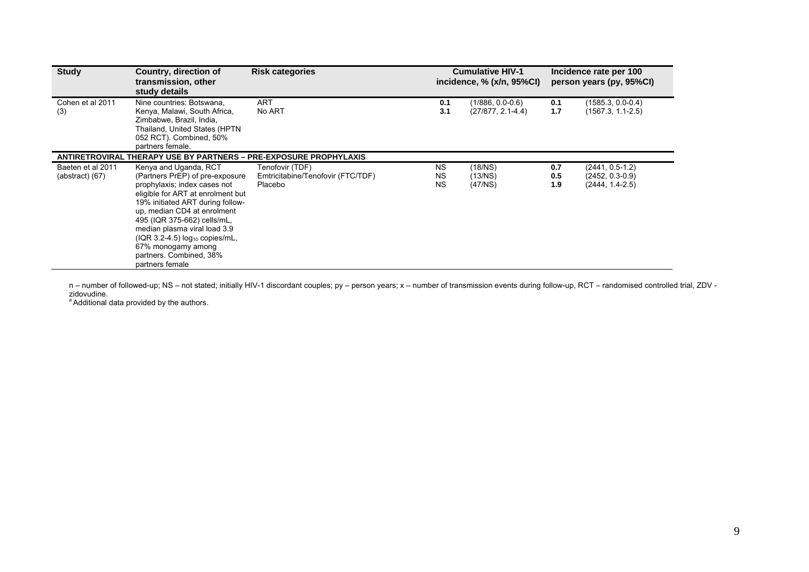| <b>Study</b>                             | Country, direction of<br>transmission, other<br>study details                                                                                                                                                                                                                                                                                                                 | <b>Risk categories</b>                                          |                                     | <b>Cumulative HIV-1</b><br>incidence, % (x/n, 95%CI) | Incidence rate per 100<br>person years (py, 95%CI) |                                                           |  |
|------------------------------------------|-------------------------------------------------------------------------------------------------------------------------------------------------------------------------------------------------------------------------------------------------------------------------------------------------------------------------------------------------------------------------------|-----------------------------------------------------------------|-------------------------------------|------------------------------------------------------|----------------------------------------------------|-----------------------------------------------------------|--|
| Cohen et al 2011<br>(3)                  | Nine countries: Botswana,<br>Kenya, Malawi, South Africa,<br>Zimbabwe, Brazil, India,<br>Thailand, United States (HPTN<br>052 RCT). Combined, 50%<br>partners female.                                                                                                                                                                                                         | <b>ART</b><br>No ART                                            | 0.1<br>3.1                          | $(1/886, 0.0-0.6)$<br>$(27/877, 2.1-4.4)$            | 0.1<br>1.7                                         | $(1585.3, 0.0-0.4)$<br>$(1567.3, 1.1-2.5)$                |  |
|                                          | <b>ANTIRETROVIRAL THERAPY USE BY PARTNERS - PRE-EXPOSURE PROPHYLAXIS</b>                                                                                                                                                                                                                                                                                                      |                                                                 |                                     |                                                      |                                                    |                                                           |  |
| Baeten et al 2011<br>$(abstructor)$ (67) | Kenya and Uganda, RCT<br>(Partners PrEP) of pre-exposure<br>prophylaxis; index cases not<br>eligible for ART at enrolment but<br>19% initiated ART during follow-<br>up, median CD4 at enrolment<br>495 (IQR 375-662) cells/mL,<br>median plasma viral load 3.9<br>$( IQR 3.2-4.5)$ $log_{10}$ copies/mL,<br>67% monogamy among<br>partners. Combined, 38%<br>partners female | Tenofovir (TDF)<br>Emtricitabine/Tenofovir (FTC/TDF)<br>Placebo | <b>NS</b><br><b>NS</b><br><b>NS</b> | (18/NS)<br>(13/NS)<br>(47/NS)                        | 0.7<br>0.5<br>1.9                                  | $(2441, 0.5-1.2)$<br>(2452, 0.3-0.9)<br>$(2444, 1.4-2.5)$ |  |

n – number of followed-up; NS – not stated; initially HIV-1 discordant couples; py – person years; x – number of transmission events during follow-up, RCT – randomised controlled trial, ZDV -<br>zidovudine.<br><sup>a</sup> Additional dat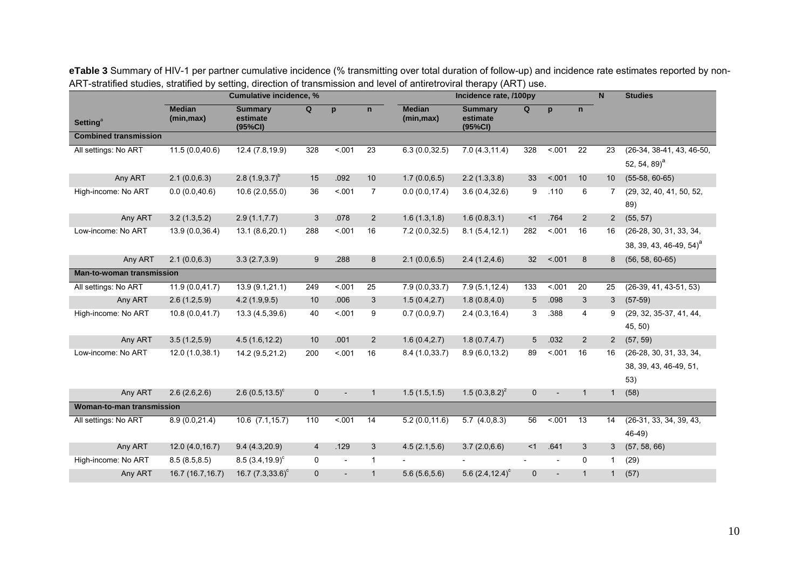|                                  |                             | Cumulative incidence, %               |                |        |                |                             | Incidence rate, /100py                |                          |                          |                 | N              | <b>Studies</b>                      |  |
|----------------------------------|-----------------------------|---------------------------------------|----------------|--------|----------------|-----------------------------|---------------------------------------|--------------------------|--------------------------|-----------------|----------------|-------------------------------------|--|
| <b>Setting<sup>ª</sup></b>       | <b>Median</b><br>(min, max) | <b>Summary</b><br>estimate<br>(95%CI) | Q              | p      | $\mathsf{n}$   | <b>Median</b><br>(min, max) | <b>Summary</b><br>estimate<br>(95%CI) | Q                        | p                        | $\mathbf n$     |                |                                     |  |
| <b>Combined transmission</b>     |                             |                                       |                |        |                |                             |                                       |                          |                          |                 |                |                                     |  |
| All settings: No ART             | 11.5(0.0,40.6)              | 12.4 (7.8,19.9)                       | 328            | 5001   | 23             | 6.3(0.0, 32.5)              | 7.0(4.3, 11.4)                        | 328                      | < .001                   | $\overline{22}$ | 23             | $(26-34, 38-41, 43, 46-50,$         |  |
|                                  |                             |                                       |                |        |                |                             |                                       |                          |                          |                 |                | 52, 54, 89) <sup>a</sup>            |  |
| Any ART                          | 2.1(0.0,6.3)                | 2.8 $(1.9,3.7)^{b}$                   | 15             | .092   | 10             | 1.7(0.0,6.5)                | 2.2(1.3,3.8)                          | 33                       | < .001                   | 10              | 10             | $(55-58, 60-65)$                    |  |
| High-income: No ART              | 0.0(0.0, 40.6)              | 10.6(2.0,55.0)                        | 36             | < .001 | $\overline{7}$ | 0.0(0.0, 17.4)              | 3.6(0.4, 32.6)                        | 9                        | .110                     | 6               | 7              | (29, 32, 40, 41, 50, 52,            |  |
|                                  |                             |                                       |                |        |                |                             |                                       |                          |                          |                 |                | 89)                                 |  |
| Any ART                          | 3.2(1.3,5.2)                | 2.9(1.1, 7.7)                         | 3              | .078   | $\overline{2}$ | 1.6(1.3, 1.8)               | 1.6(0.8, 3.1)                         | <1                       | .764                     | $\overline{2}$  | $\overline{2}$ | (55, 57)                            |  |
| Low-income: No ART               | 13.9 (0.0,36.4)             | 13.1 (8.6,20.1)                       | 288            | < .001 | 16             | 7.2(0.0, 32.5)              | 8.1(5.4, 12.1)                        | 282                      | < .001                   | 16              | 16             | (26-28, 30, 31, 33, 34,             |  |
|                                  |                             |                                       |                |        |                |                             |                                       |                          |                          |                 |                | 38, 39, 43, 46-49, 54) <sup>a</sup> |  |
| Any ART                          | 2.1(0.0, 6.3)               | 3.3(2.7,3.9)                          | 9              | .288   | 8              | 2.1(0.0,6.5)                | 2.4(1.2, 4.6)                         | 32                       | < 0.01                   | 8               | 8              | $(56, 58, 60-65)$                   |  |
| <b>Man-to-woman transmission</b> |                             |                                       |                |        |                |                             |                                       |                          |                          |                 |                |                                     |  |
| All settings: No ART             | 11.9(0.0, 41.7)             | 13.9(9.1,21.1)                        | 249            | 5.001  | 25             | 7.9(0.0, 33.7)              | 7.9(5.1, 12.4)                        | 133                      | < 001                    | 20              | 25             | $(26-39, 41, 43-51, 53)$            |  |
| Any ART                          | 2.6(1.2,5.9)                | 4.2(1.9, 9.5)                         | 10             | .006   | 3              | 1.5(0.4, 2.7)               | 1.8(0.8, 4.0)                         | 5                        | .098                     | 3               | 3              | $(57-59)$                           |  |
| High-income: No ART              | 10.8(0.0, 41.7)             | 13.3 (4.5,39.6)                       | 40             | < 001  | 9              | 0.7(0.0, 9.7)               | 2.4(0.3, 16.4)                        | 3                        | .388                     | $\overline{4}$  | 9              | (29, 32, 35-37, 41, 44,             |  |
|                                  |                             |                                       |                |        |                |                             |                                       |                          |                          |                 |                | 45, 50)                             |  |
| Any ART                          | 3.5(1.2,5.9)                | 4.5(1.6, 12.2)                        | 10             | .001   | $\overline{2}$ | 1.6(0.4, 2.7)               | 1.8(0.7, 4.7)                         | 5                        | .032                     | $\overline{2}$  | $\overline{2}$ | (57, 59)                            |  |
| Low-income: No ART               | 12.0(1.0,38.1)              | 14.2 (9.5,21.2)                       | 200            | < 001  | 16             | 8.4(1.0, 33.7)              | 8.9(6.0, 13.2)                        | 89                       | < 001                    | 16              | 16             | (26-28, 30, 31, 33, 34,             |  |
|                                  |                             |                                       |                |        |                |                             |                                       |                          |                          |                 |                | 38, 39, 43, 46-49, 51,              |  |
|                                  |                             |                                       |                |        |                |                             |                                       |                          |                          |                 |                | 53)                                 |  |
| Any ART                          | 2.6(2.6, 2.6)               | 2.6 $(0.5, 13.5)^c$                   | $\mathbf{0}$   |        | $\mathbf{1}$   | 1.5(1.5, 1.5)               | 1.5 $(0.3, 8.2)^2$                    | $\mathbf 0$              |                          | $\mathbf{1}$    | $\mathbf{1}$   | (58)                                |  |
| Woman-to-man transmission        |                             |                                       |                |        |                |                             |                                       |                          |                          |                 |                |                                     |  |
| All settings: No ART             | 8.9(0.0, 21.4)              | $10.6$ $(7.1, 15.7)$                  | 110            | < .001 | 14             | 5.2(0.0, 11.6)              | 5.7(4.0, 8.3)                         | 56                       | < .001                   | 13              | 14             | (26-31, 33, 34, 39, 43,             |  |
|                                  |                             |                                       |                |        |                |                             |                                       |                          |                          |                 |                | $46-49$                             |  |
| Any ART                          | 12.0(4.0, 16.7)             | 9.4(4.3,20.9)                         | $\overline{4}$ | .129   | 3              | 4.5(2.1,5.6)                | 3.7(2.0,6.6)                          | <1                       | .641                     | 3               | 3              | (57, 58, 66)                        |  |
| High-income: No ART              | 8.5(8.5, 8.5)               | $8.5(3.4,19.9)^c$                     | 0              |        | $\mathbf{1}$   |                             |                                       | $\overline{\phantom{a}}$ |                          | $\Omega$        | -1             | (29)                                |  |
| Any ART                          | 16.7 (16.7, 16.7)           | 16.7 $(7.3,33.6)^c$                   | $\mathbf 0$    |        | $\mathbf{1}$   | 5.6(5.6, 5.6)               | 5.6 $(2.4, 12.4)^c$                   | $\mathbf 0$              | $\overline{\phantom{a}}$ | $\mathbf{1}$    | $\mathbf{1}$   | (57)                                |  |

**eTable 3** Summary of HIV-1 per partner cumulative incidence (% transmitting over total duration of follow-up) and incidence rate estimates reported by non-ART-stratified studies, stratified by setting, direction of transmission and level of antiretroviral therapy (ART) use.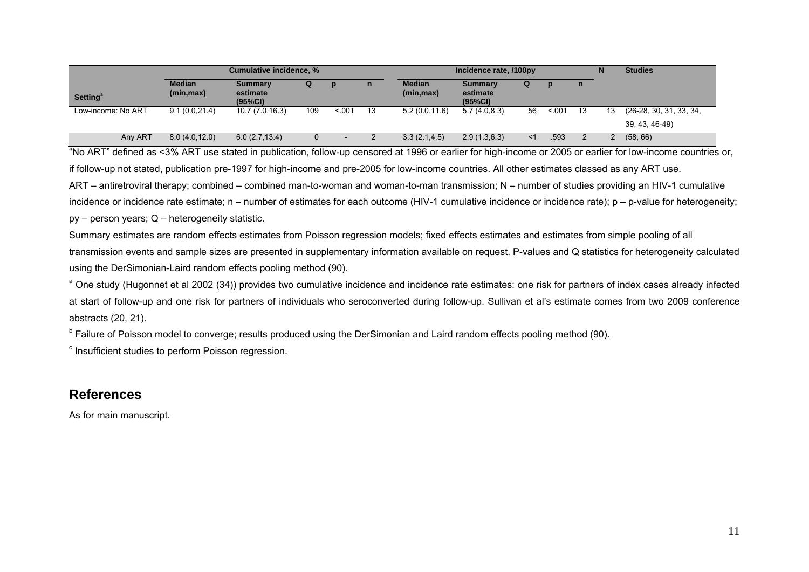|                             |                             | Cumulative incidence, %               |     |       |              |                             | Incidence rate, /100py                |       |       | <b>Studies</b> |    |                         |
|-----------------------------|-----------------------------|---------------------------------------|-----|-------|--------------|-----------------------------|---------------------------------------|-------|-------|----------------|----|-------------------------|
| <b>Setting</b> <sup>a</sup> | <b>Median</b><br>(min, max) | <b>Summary</b><br>estimate<br>(95%CI) | Q   |       | $\mathsf{n}$ | <b>Median</b><br>(min, max) | <b>Summary</b><br>estimate<br>(95%CI) | Q     |       | n              |    |                         |
| Low-income: No ART          | 9.1(0.0, 21.4)              | 10.7 (7.0,16.3)                       | 109 | < 001 | 13           | 5.2(0.0, 11.6)              | 5.7(4.0.8.3)                          | 56    | < 001 | 13             | 13 | (26-28, 30, 31, 33, 34, |
|                             |                             |                                       |     |       |              |                             |                                       |       |       |                |    | 39, 43, 46-49)          |
| Any ART                     | 8.0(4.0, 12.0)              | 6.0(2.7, 13.4)                        |     |       |              | 3.3(2.1, 4.5)               | 2.9(1.3, 6.3)                         | $<$ 1 | .593  |                |    | (58, 66)                |

"No ART" defined as <3% ART use stated in publication, follow-up censored at 1996 or earlier for high-income or 2005 or earlier for low-income countries or, if follow-up not stated, publication pre-1997 for high-income and pre-2005 for low-income countries. All other estimates classed as any ART use. ART – antiretroviral therapy; combined – combined man-to-woman and woman-to-man transmission; N – number of studies providing an HIV-1 cumulative incidence or incidence rate estimate; n – number of estimates for each outcome (HIV-1 cumulative incidence or incidence rate); p – p-value for heterogeneity; py – person years; Q – heterogeneity statistic.

Summary estimates are random effects estimates from Poisson regression models; fixed effects estimates and estimates from simple pooling of all transmission events and sample sizes are presented in supplementary information available on request. P-values and Q statistics for heterogeneity calculated using the DerSimonian-Laird random effects pooling method (90).

<sup>a</sup> One study (Hugonnet et al 2002 (34)) provides two cumulative incidence and incidence rate estimates: one risk for partners of index cases already infected at start of follow-up and one risk for partners of individuals who seroconverted during follow-up. Sullivan et al's estimate comes from two 2009 conference abstracts (20, 21).

<sup>b</sup> Failure of Poisson model to converge; results produced using the DerSimonian and Laird random effects pooling method (90).

<sup>c</sup> Insufficient studies to perform Poisson regression.

## **References**

As for main manuscript.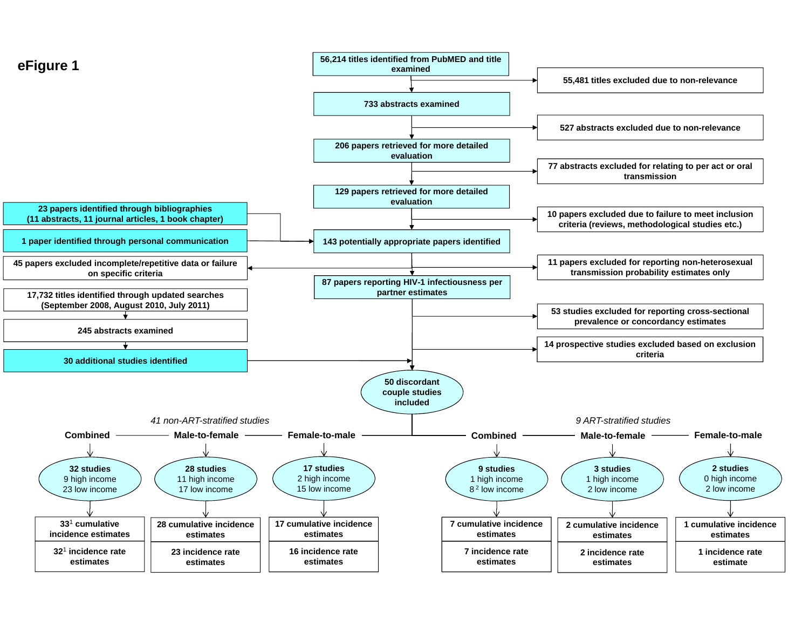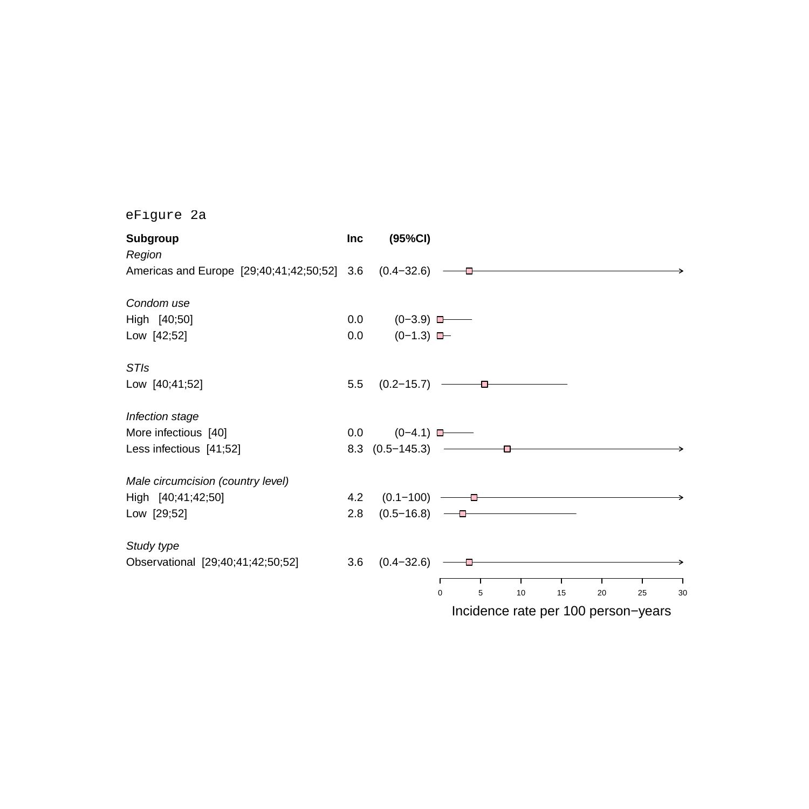| <b>Subgroup</b><br>Region                              | <b>Inc</b> | (95%CI)          |                                                |
|--------------------------------------------------------|------------|------------------|------------------------------------------------|
| Americas and Europe [29;40;41;42;50;52] 3.6 (0.4-32.6) |            |                  |                                                |
| Condom use                                             |            |                  |                                                |
| High [40;50]                                           | 0.0        | $(0-3.9)$ $\Box$ |                                                |
| Low [42;52]                                            | 0.0        | $(0-1.3)$ $\Box$ |                                                |
| <b>STIs</b>                                            |            |                  |                                                |
| Low [40;41;52]                                         | 5.5        | $(0.2 - 15.7)$   |                                                |
| Infection stage                                        |            |                  |                                                |
| More infectious [40]                                   | 0.0        | $(0-4.1)$        |                                                |
| Less infectious [41;52]                                |            |                  | 8.3 $(0.5-145.3)$ $\longrightarrow$            |
| Male circumcision (country level)                      |            |                  |                                                |
| High [40;41;42;50]                                     | 4.2        | $(0.1-100)$ ——   |                                                |
| Low [29;52]                                            | 2.8        |                  | $(0.5-16.8)$ -                                 |
| Study type                                             |            |                  |                                                |
| Observational [29;40;41;42;50;52]                      | 3.6        | $(0.4 - 32.6)$   |                                                |
|                                                        |            |                  | $\mathbf 0$<br>5<br>10<br>15<br>20<br>25<br>30 |
|                                                        |            |                  | Incidence rate per 100 person-years            |
|                                                        |            |                  |                                                |

eFigure 2a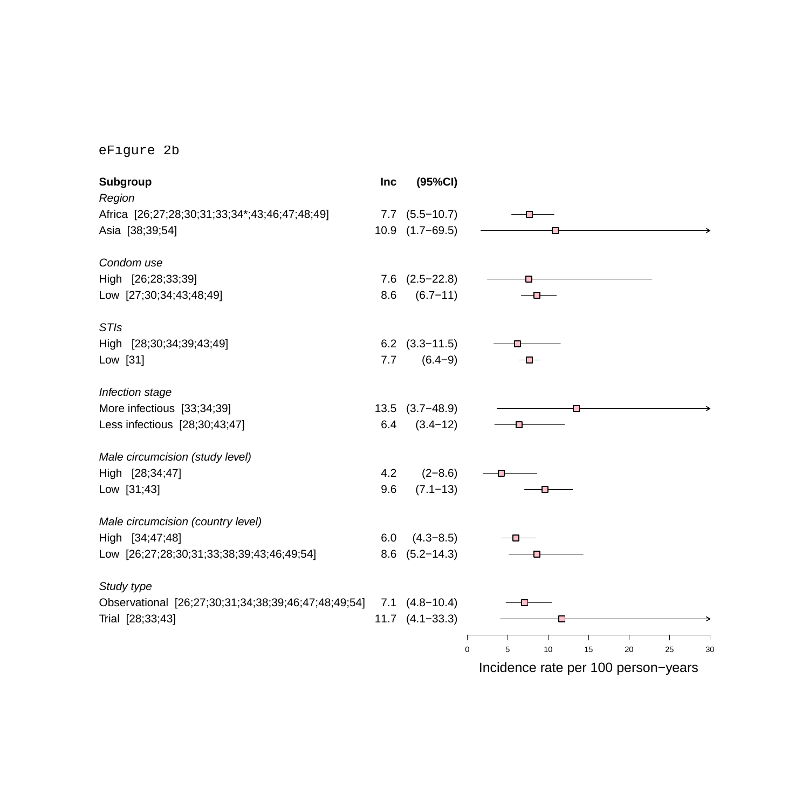eFigure 2b

| Subgroup                                            | Inc | (95%CI)               |                                                |
|-----------------------------------------------------|-----|-----------------------|------------------------------------------------|
| Region                                              |     |                       |                                                |
| Africa [26;27;28;30;31;33;34*;43;46;47;48;49]       |     | $7.7$ $(5.5-10.7)$    |                                                |
| Asia [38;39;54]                                     |     | 10.9 (1.7-69.5)       |                                                |
| Condom use                                          |     |                       |                                                |
| High [26;28;33;39]                                  |     | $7.6$ $(2.5-22.8)$    |                                                |
| Low [27;30;34;43;48;49]                             | 8.6 | $(6.7 - 11)$          | ╼                                              |
| <b>STIs</b>                                         |     |                       |                                                |
| High [28;30;34;39;43;49]                            |     | $6.2$ $(3.3-11.5)$    |                                                |
| Low [31]                                            | 7.7 | $(6.4-9)$             | ╼┶┷═                                           |
| Infection stage                                     |     |                       |                                                |
| More infectious [33;34;39]                          |     | $13.5$ $(3.7-48.9)$   |                                                |
| Less infectious [28;30;43;47]                       | 6.4 | $(3.4 - 12)$          |                                                |
| Male circumcision (study level)                     |     |                       |                                                |
| High [28;34;47]                                     | 4.2 | $(2 - 8.6)$           |                                                |
| Low [31;43]                                         | 9.6 | $(7.1 - 13)$          |                                                |
| Male circumcision (country level)                   |     |                       |                                                |
| High [34;47;48]                                     | 6.0 | $(4.3 - 8.5)$         |                                                |
| Low [26;27;28;30;31;33;38;39;43;46;49;54]           |     | $8.6$ $(5.2-14.3)$    |                                                |
| Study type                                          |     |                       |                                                |
| Observational [26;27;30;31;34;38;39;46;47;48;49;54] |     | $7.1$ $(4.8-10.4)$    |                                                |
| Trial [28;33;43]                                    |     | $11.7$ $(4.1 - 33.3)$ |                                                |
|                                                     |     |                       | 5<br>$\mathbf 0$<br>10<br>15<br>20<br>25<br>30 |
|                                                     |     |                       | Incidence rate per 100 person-years            |
|                                                     |     |                       |                                                |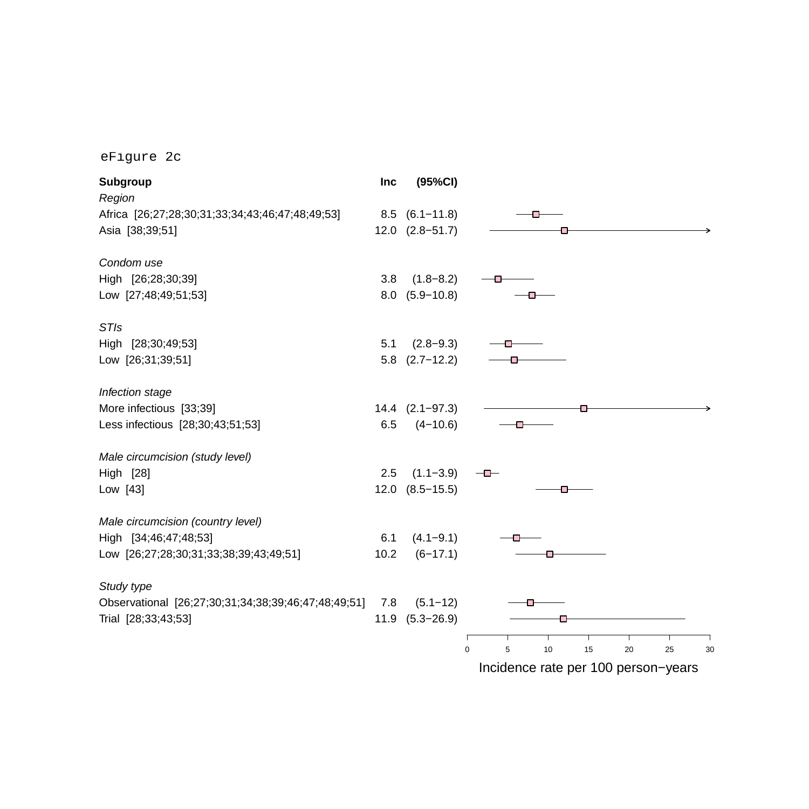eFigure 2c

| Subgroup                                            | <b>Inc</b> | (95%CI)             |                                                |
|-----------------------------------------------------|------------|---------------------|------------------------------------------------|
| Region                                              |            |                     |                                                |
| Africa [26;27;28;30;31;33;34;43;46;47;48;49;53]     |            | $8.5$ $(6.1-11.8)$  |                                                |
| Asia [38;39;51]                                     |            | $12.0$ $(2.8-51.7)$ |                                                |
| Condom use                                          |            |                     |                                                |
| High [26;28;30;39]                                  | 3.8        | $(1.8 - 8.2)$       |                                                |
| Low [27;48;49;51;53]                                |            | $8.0$ $(5.9-10.8)$  |                                                |
| <b>STIs</b>                                         |            |                     |                                                |
| High [28;30;49;53]                                  | 5.1        | $(2.8 - 9.3)$       |                                                |
| Low [26;31;39;51]                                   | 5.8        | $(2.7 - 12.2)$      |                                                |
| Infection stage                                     |            |                     |                                                |
| More infectious [33;39]                             |            | $14.4$ $(2.1-97.3)$ |                                                |
| Less infectious [28;30;43;51;53]                    | 6.5        | $(4 - 10.6)$        |                                                |
| Male circumcision (study level)                     |            |                     |                                                |
| High [28]                                           | 2.5        | $(1.1 - 3.9)$       | -0-                                            |
| Low [43]                                            |            | $12.0$ $(8.5-15.5)$ |                                                |
| Male circumcision (country level)                   |            |                     |                                                |
| High [34;46;47;48;53]                               | 6.1        | $(4.1 - 9.1)$       |                                                |
| Low [26;27;28;30;31;33;38;39;43;49;51]              | 10.2       | $(6-17.1)$          |                                                |
| Study type                                          |            |                     |                                                |
| Observational [26;27;30;31;34;38;39;46;47;48;49;51] | 7.8        | $(5.1 - 12)$        |                                                |
| Trial [28;33;43;53]                                 |            | $11.9$ $(5.3-26.9)$ |                                                |
|                                                     |            |                     | Т                                              |
|                                                     |            |                     | 10<br>15<br>20<br>25<br>$\mathbf 0$<br>5<br>30 |
|                                                     |            |                     | Incidence rate per 100 person-years            |

Prate per 100 person–years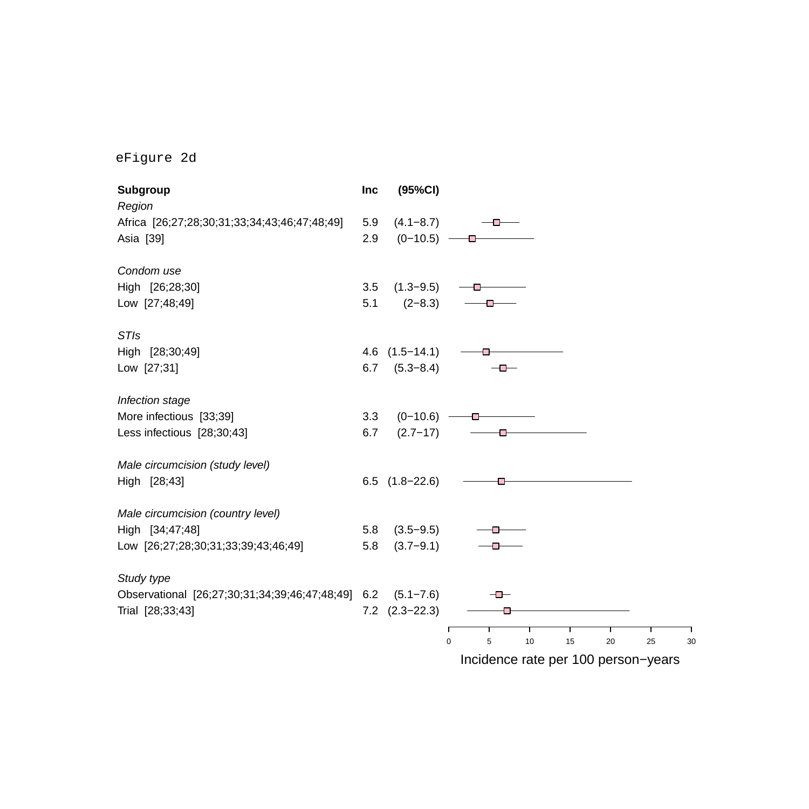eFigure 2d

| Region<br>Africa [26;27;28;30;31;33;34;43;46;47;48;49]<br>$(4.1 - 8.7)$<br>5.9<br>— D-<br>2.9<br>$(0-10.5)$ -<br>Asia [39]<br>Condom use<br>High [26;28;30]<br>$(1.3 - 9.5)$<br>3.5<br>5.1<br>$(2-8.3)$<br>Low [27;48;49]<br>╼<br><b>STIs</b><br>$(1.5 - 14.1)$<br>High [28;30;49]<br>4.6<br>$(5.3 - 8.4)$<br>Low [27;31]<br>6.7<br>$-$<br>Infection stage<br>More infectious [33;39]<br>$(0-10.6)$ –<br>3.3<br>Less infectious [28;30;43]<br>$(2.7 - 17)$<br>6.7<br>⊕ |
|------------------------------------------------------------------------------------------------------------------------------------------------------------------------------------------------------------------------------------------------------------------------------------------------------------------------------------------------------------------------------------------------------------------------------------------------------------------------|
|                                                                                                                                                                                                                                                                                                                                                                                                                                                                        |
|                                                                                                                                                                                                                                                                                                                                                                                                                                                                        |
|                                                                                                                                                                                                                                                                                                                                                                                                                                                                        |
|                                                                                                                                                                                                                                                                                                                                                                                                                                                                        |
|                                                                                                                                                                                                                                                                                                                                                                                                                                                                        |
|                                                                                                                                                                                                                                                                                                                                                                                                                                                                        |
|                                                                                                                                                                                                                                                                                                                                                                                                                                                                        |
|                                                                                                                                                                                                                                                                                                                                                                                                                                                                        |
|                                                                                                                                                                                                                                                                                                                                                                                                                                                                        |
|                                                                                                                                                                                                                                                                                                                                                                                                                                                                        |
|                                                                                                                                                                                                                                                                                                                                                                                                                                                                        |
|                                                                                                                                                                                                                                                                                                                                                                                                                                                                        |
| Male circumcision (study level)                                                                                                                                                                                                                                                                                                                                                                                                                                        |
| High [28;43]<br>$6.5$ $(1.8-22.6)$<br>o                                                                                                                                                                                                                                                                                                                                                                                                                                |
| Male circumcision (country level)                                                                                                                                                                                                                                                                                                                                                                                                                                      |
| High [34;47;48]<br>5.8<br>$(3.5 - 9.5)$                                                                                                                                                                                                                                                                                                                                                                                                                                |
| $(3.7 - 9.1)$<br>Low [26;27;28;30;31;33;39;43;46;49]<br>5.8                                                                                                                                                                                                                                                                                                                                                                                                            |
| Study type                                                                                                                                                                                                                                                                                                                                                                                                                                                             |
| Observational [26;27;30;31;34;39;46;47;48;49] 6.2<br>$(5.1 - 7.6)$<br>╼                                                                                                                                                                                                                                                                                                                                                                                                |
| $7.2$ $(2.3-22.3)$<br>Trial [28;33;43]                                                                                                                                                                                                                                                                                                                                                                                                                                 |
| Т<br>5<br>10<br>$\mathbf 0$<br>15<br>20<br>25<br>30                                                                                                                                                                                                                                                                                                                                                                                                                    |
| Incidence rate per 100 person-years                                                                                                                                                                                                                                                                                                                                                                                                                                    |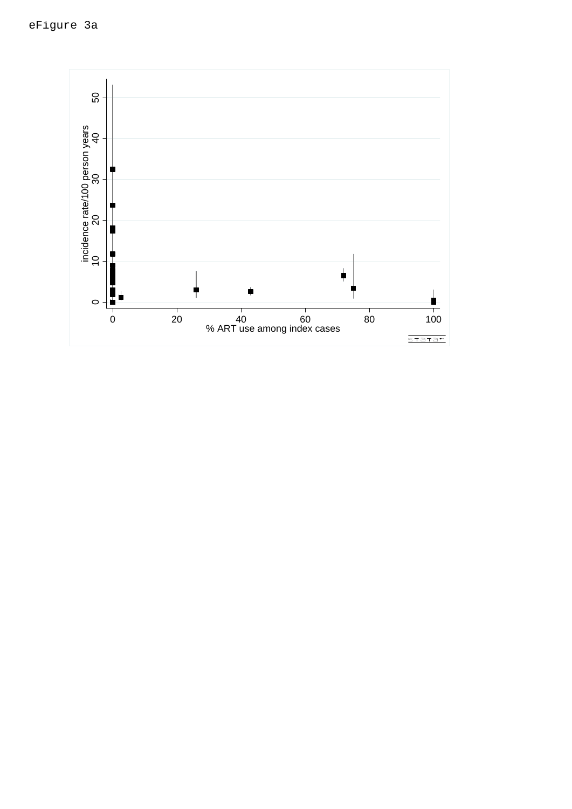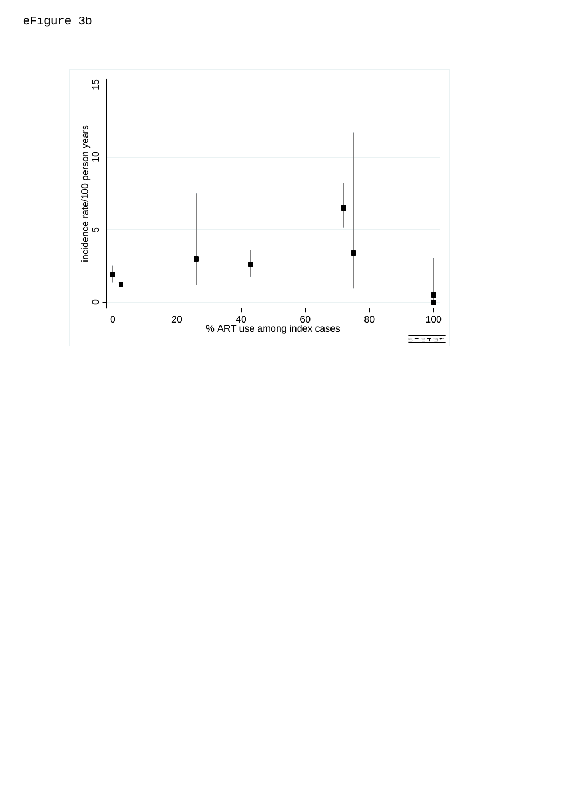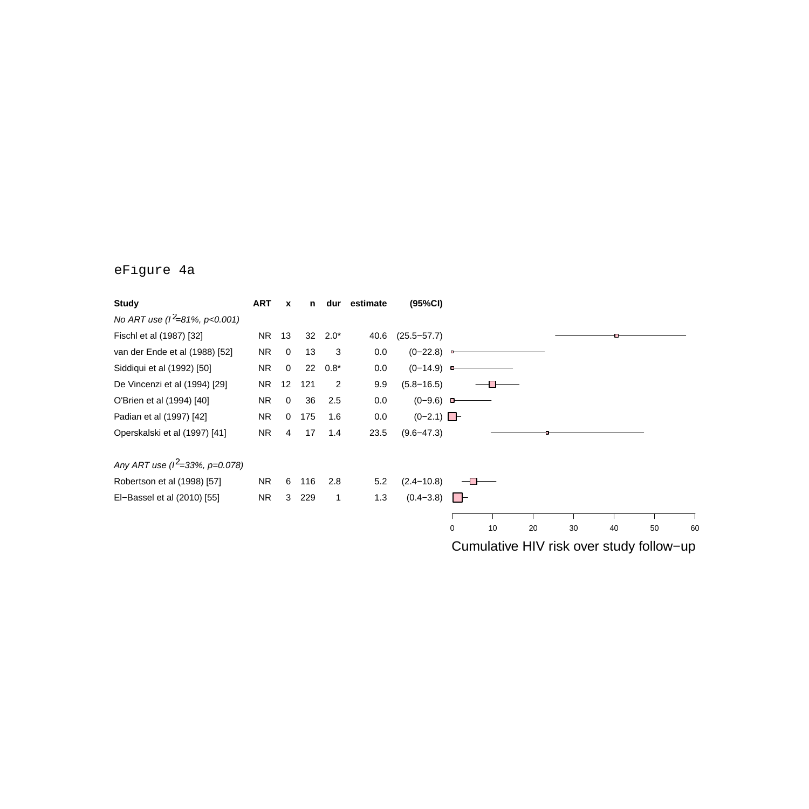### eFigure 4a

| <b>Study</b>                       | <b>ART</b> | $\mathbf{x}$ | n     | dur          | estimate | (95%CI)          |             |    |    |                                           |    |    |    |
|------------------------------------|------------|--------------|-------|--------------|----------|------------------|-------------|----|----|-------------------------------------------|----|----|----|
| No ART use ( $l^2$ =81%, p<0.001)  |            |              |       |              |          |                  |             |    |    |                                           |    |    |    |
| Fischl et al (1987) [32]           | NR 13      |              | 32    | $2.0*$       | 40.6     | $(25.5 - 57.7)$  |             |    |    |                                           |    |    |    |
| van der Ende et al (1988) [52]     | NR         | $\mathbf 0$  | 13    | 3            | 0.0      | $(0-22.8)$ –     |             |    |    |                                           |    |    |    |
| Siddiqui et al (1992) [50]         | NR.        | $\mathbf 0$  | 22    | $0.8*$       | 0.0      | $(0-14.9)$ –     |             |    |    |                                           |    |    |    |
| De Vincenzi et al (1994) [29]      | NR         | 12           | 121   | 2            | 9.9      | $(5.8 - 16.5)$   |             |    |    |                                           |    |    |    |
| O'Brien et al (1994) [40]          | NR         | $\mathbf 0$  | 36    | 2.5          | 0.0      | $(0-9.6)$ $-$    |             |    |    |                                           |    |    |    |
| Padian et al (1997) [42]           | <b>NR</b>  | $\mathbf 0$  | 175   | 1.6          | 0.0      | $(0-2.1)$ $\Box$ |             |    |    |                                           |    |    |    |
| Operskalski et al (1997) [41]      | <b>NR</b>  | 4            | 17    | 1.4          | 23.5     | $(9.6 - 47.3)$   |             |    |    |                                           |    |    |    |
| Any ART use ( $l^2$ =33%, p=0.078) |            |              |       |              |          |                  |             |    |    |                                           |    |    |    |
| Robertson et al (1998) [57]        | NR.        | 6            | 116   | 2.8          | 5.2      | $(2.4 - 10.8)$   |             |    |    |                                           |    |    |    |
| El-Bassel et al (2010) [55]        | <b>NR</b>  |              | 3 229 | $\mathbf{1}$ | 1.3      | $(0.4-3.8)$      |             |    |    |                                           |    |    |    |
|                                    |            |              |       |              |          |                  |             |    |    |                                           |    |    |    |
|                                    |            |              |       |              |          |                  | $\mathbf 0$ | 10 | 20 | 30                                        | 40 | 50 | 60 |
|                                    |            |              |       |              |          |                  |             |    |    | Cumulative LIV rials over etudy follow up |    |    |    |

Cumulative HIV risk over study follow−up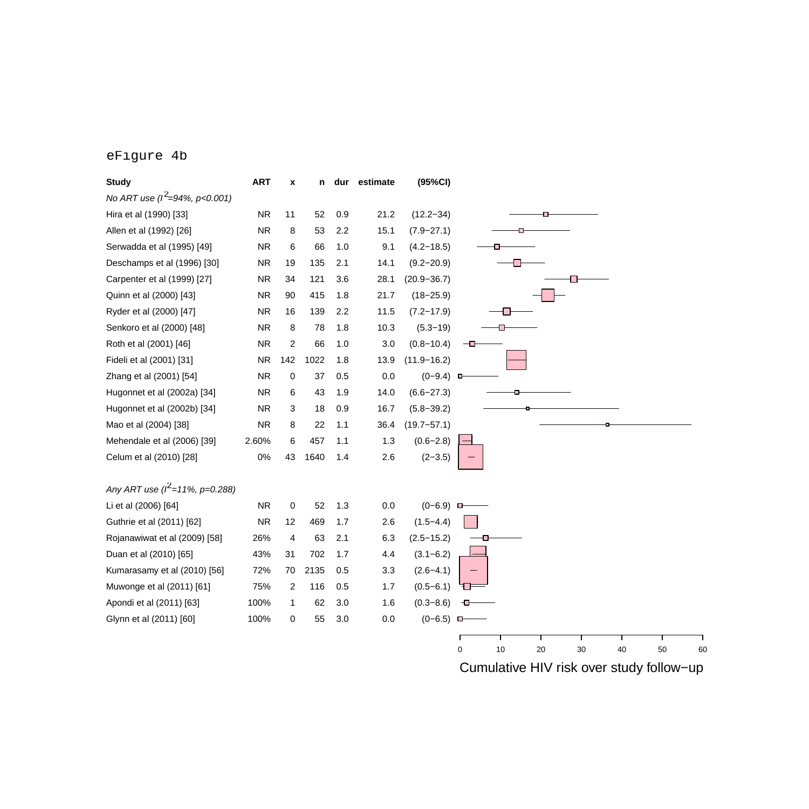#### eFigure 4b

| <b>Study</b>                       | <b>ART</b> | $\pmb{\mathsf{x}}$ | n    |     | dur estimate | (95%CI)         |                                       |
|------------------------------------|------------|--------------------|------|-----|--------------|-----------------|---------------------------------------|
| No ART use ( $l^2$ =94%, p<0.001)  |            |                    |      |     |              |                 |                                       |
| Hira et al (1990) [33]             | <b>NR</b>  | 11                 | 52   | 0.9 | 21.2         | $(12.2 - 34)$   |                                       |
| Allen et al (1992) [26]            | <b>NR</b>  | 8                  | 53   | 2.2 | 15.1         | $(7.9 - 27.1)$  |                                       |
| Serwadda et al (1995) [49]         | <b>NR</b>  | 6                  | 66   | 1.0 | 9.1          | $(4.2 - 18.5)$  |                                       |
| Deschamps et al (1996) [30]        | <b>NR</b>  | 19                 | 135  | 2.1 | 14.1         | $(9.2 - 20.9)$  |                                       |
| Carpenter et al (1999) [27]        | <b>NR</b>  | 34                 | 121  | 3.6 | 28.1         | $(20.9 - 36.7)$ |                                       |
| Quinn et al (2000) [43]            | <b>NR</b>  | 90                 | 415  | 1.8 | 21.7         | $(18 - 25.9)$   |                                       |
| Ryder et al (2000) [47]            | <b>NR</b>  | 16                 | 139  | 2.2 | 11.5         | $(7.2 - 17.9)$  |                                       |
| Senkoro et al (2000) [48]          | <b>NR</b>  | 8                  | 78   | 1.8 | 10.3         | $(5.3 - 19)$    |                                       |
| Roth et al (2001) [46]             | <b>NR</b>  | $\overline{2}$     | 66   | 1.0 | 3.0          | $(0.8 - 10.4)$  |                                       |
| Fideli et al (2001) [31]           | <b>NR</b>  | 142                | 1022 | 1.8 | 13.9         | $(11.9 - 16.2)$ |                                       |
| Zhang et al (2001) [54]            | <b>NR</b>  | 0                  | 37   | 0.5 | 0.0          | $(0-9.4)$ D     |                                       |
| Hugonnet et al (2002a) [34]        | <b>NR</b>  | 6                  | 43   | 1.9 | 14.0         | $(6.6 - 27.3)$  |                                       |
| Hugonnet et al (2002b) [34]        | <b>NR</b>  | 3                  | 18   | 0.9 | 16.7         | $(5.8 - 39.2)$  |                                       |
| Mao et al (2004) [38]              | <b>NR</b>  | 8                  | 22   | 1.1 | 36.4         | $(19.7 - 57.1)$ |                                       |
| Mehendale et al (2006) [39]        | 2.60%      | 6                  | 457  | 1.1 | 1.3          | $(0.6 - 2.8)$   |                                       |
| Celum et al (2010) [28]            | 0%         | 43                 | 1640 | 1.4 | 2.6          | $(2-3.5)$       |                                       |
| Any ART use ( $l^2$ =11%, p=0.288) |            |                    |      |     |              |                 |                                       |
| Li et al (2006) [64]               | <b>NR</b>  | 0                  | 52   | 1.3 | 0.0          | $(0-6.9)$       |                                       |
| Guthrie et al (2011) [62]          | <b>NR</b>  | 12                 | 469  | 1.7 | 2.6          | $(1.5 - 4.4)$   |                                       |
| Rojanawiwat et al (2009) [58]      | 26%        | 4                  | 63   | 2.1 | 6.3          | $(2.5 - 15.2)$  |                                       |
| Duan et al (2010) [65]             | 43%        | 31                 | 702  | 1.7 | 4.4          | $(3.1 - 6.2)$   |                                       |
| Kumarasamy et al (2010) [56]       | 72%        | 70                 | 2135 | 0.5 | 3.3          | $(2.6 - 4.1)$   |                                       |
| Muwonge et al (2011) [61]          | 75%        | $\overline{2}$     | 116  | 0.5 | 1.7          | $(0.5 - 6.1)$   |                                       |
| Apondi et al (2011) [63]           | 100%       | $\mathbf{1}$       | 62   | 3.0 | 1.6          | $(0.3 - 8.6)$   |                                       |
| Glynn et al (2011) [60]            | 100%       | 0                  | 55   | 3.0 | 0.0          | $(0-6.5)$       |                                       |
|                                    |            |                    |      |     |              |                 |                                       |
|                                    |            |                    |      |     |              |                 | 10<br>0<br>20<br>30<br>40<br>50<br>60 |

Cumulative HIV risk over study follow−up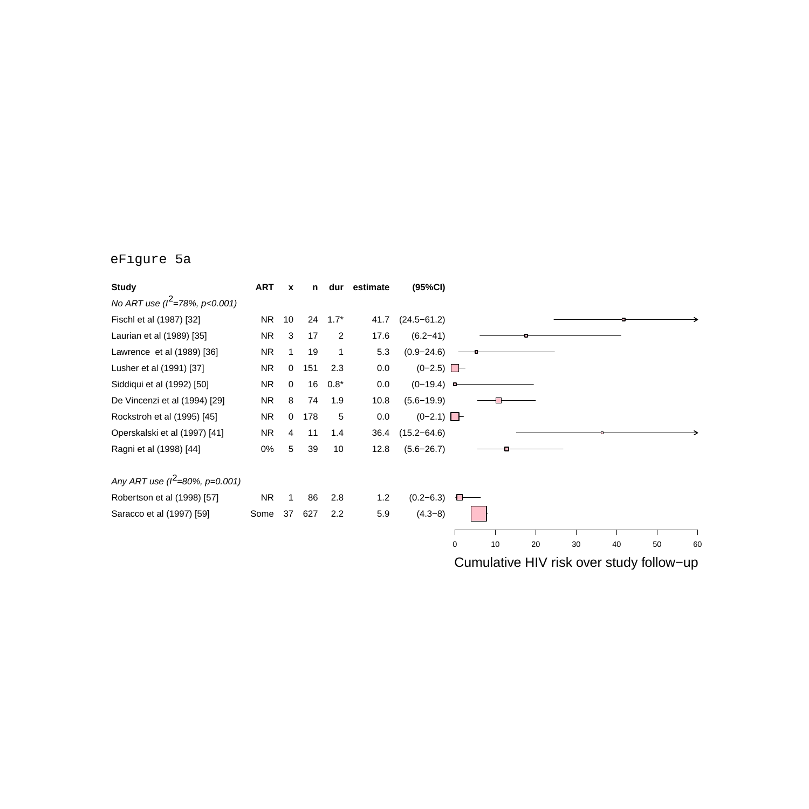### eFigure 5a

| <b>Study</b>                       | <b>ART</b> | X           | n   | dur              | estimate | (95%CI)         |   |    |    |                                          |    |    |    |
|------------------------------------|------------|-------------|-----|------------------|----------|-----------------|---|----|----|------------------------------------------|----|----|----|
| No ART use ( $l^2$ =78%, p<0.001)  |            |             |     |                  |          |                 |   |    |    |                                          |    |    |    |
| Fischl et al (1987) [32]           | NR         | 10          |     | $24 \quad 1.7^*$ | 41.7     | $(24.5 - 61.2)$ |   |    |    |                                          |    |    |    |
| Laurian et al (1989) [35]          | NR.        | 3           | 17  | $\overline{2}$   | 17.6     | $(6.2 - 41)$    |   |    |    |                                          |    |    |    |
| Lawrence et al (1989) [36]         | NR.        |             | 19  | 1                | 5.3      | $(0.9 - 24.6)$  |   |    |    |                                          |    |    |    |
| Lusher et al (1991) [37]           | <b>NR</b>  | $\mathbf 0$ | 151 | 2.3              | 0.0      | $(0-2.5)$       |   |    |    |                                          |    |    |    |
| Siddiqui et al (1992) [50]         | <b>NR</b>  | $\Omega$    | 16  | $0.8*$           | 0.0      | $(0-19.4)$      |   |    |    |                                          |    |    |    |
| De Vincenzi et al (1994) [29]      | NR.        | 8           | 74  | 1.9              | 10.8     | $(5.6 - 19.9)$  |   |    |    |                                          |    |    |    |
| Rockstroh et al (1995) [45]        | NR.        | 0           | 178 | 5                | 0.0      | $(0-2.1)$       |   |    |    |                                          |    |    |    |
| Operskalski et al (1997) [41]      | NR.        | 4           | 11  | 1.4              | 36.4     | $(15.2 - 64.6)$ |   |    |    |                                          |    |    |    |
| Ragni et al (1998) [44]            | 0%         | 5           | 39  | 10               | 12.8     | $(5.6 - 26.7)$  |   |    |    |                                          |    |    |    |
| Any ART use ( $l^2$ =80%, p=0.001) |            |             |     |                  |          |                 |   |    |    |                                          |    |    |    |
| Robertson et al (1998) [57]        | NR.        | 1           | 86  | 2.8              | 1.2      | $(0.2 - 6.3)$   |   |    |    |                                          |    |    |    |
| Saracco et al (1997) [59]          | Some       | 37          | 627 | 2.2              | 5.9      | $(4.3-8)$       |   |    |    |                                          |    |    |    |
|                                    |            |             |     |                  |          |                 |   |    |    |                                          |    |    |    |
|                                    |            |             |     |                  |          |                 | 0 | 10 | 20 | 30                                       | 40 | 50 | 60 |
|                                    |            |             |     |                  |          |                 |   |    |    | Cumulative HIV risk over study follow-up |    |    |    |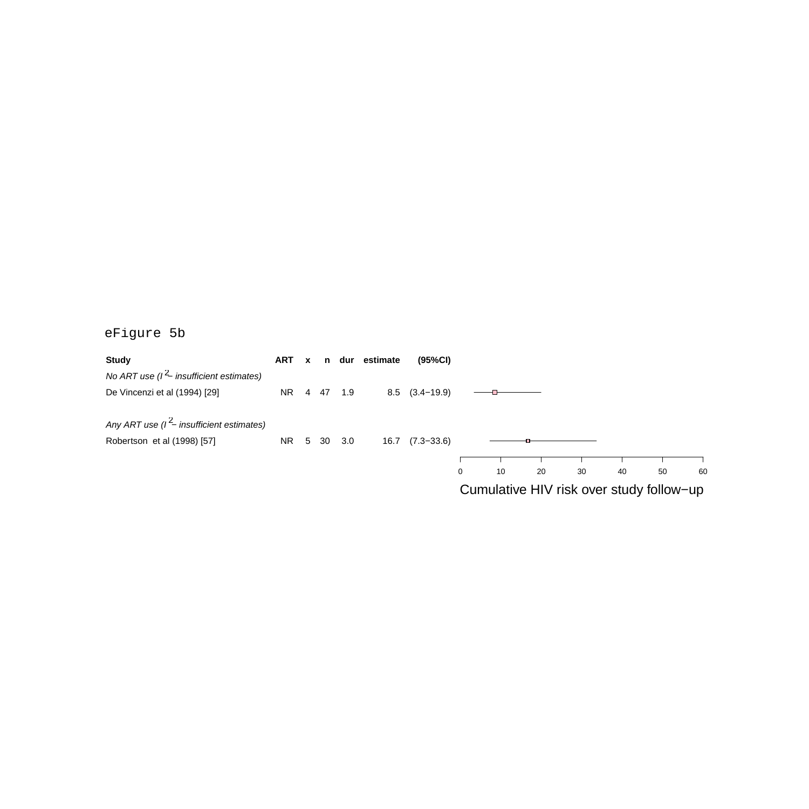### eFigure 5b

| <b>Study</b>                                  | ART x   |  |     | n dur estimate | (95%CI)             |   |    |    |    |    |                                          |    |
|-----------------------------------------------|---------|--|-----|----------------|---------------------|---|----|----|----|----|------------------------------------------|----|
| No ART use $(l^2$ - insufficient estimates)   |         |  |     |                |                     |   |    |    |    |    |                                          |    |
| De Vincenzi et al (1994) [29]                 | NR 4 47 |  | 1.9 |                | $8.5$ $(3.4-19.9)$  |   |    |    |    |    |                                          |    |
| Any ART use ( $l^2$ – insufficient estimates) |         |  |     |                |                     |   |    |    |    |    |                                          |    |
| Robertson et al (1998) [57]                   | NR 5 30 |  | 3.0 |                | $16.7$ $(7.3-33.6)$ |   |    |    |    |    |                                          |    |
|                                               |         |  |     |                |                     |   |    |    |    |    |                                          |    |
|                                               |         |  |     |                |                     | 0 | 10 | 20 | 30 | 40 | 50                                       | 60 |
|                                               |         |  |     |                |                     |   |    |    |    |    | Cumulative HIV risk over study follow-up |    |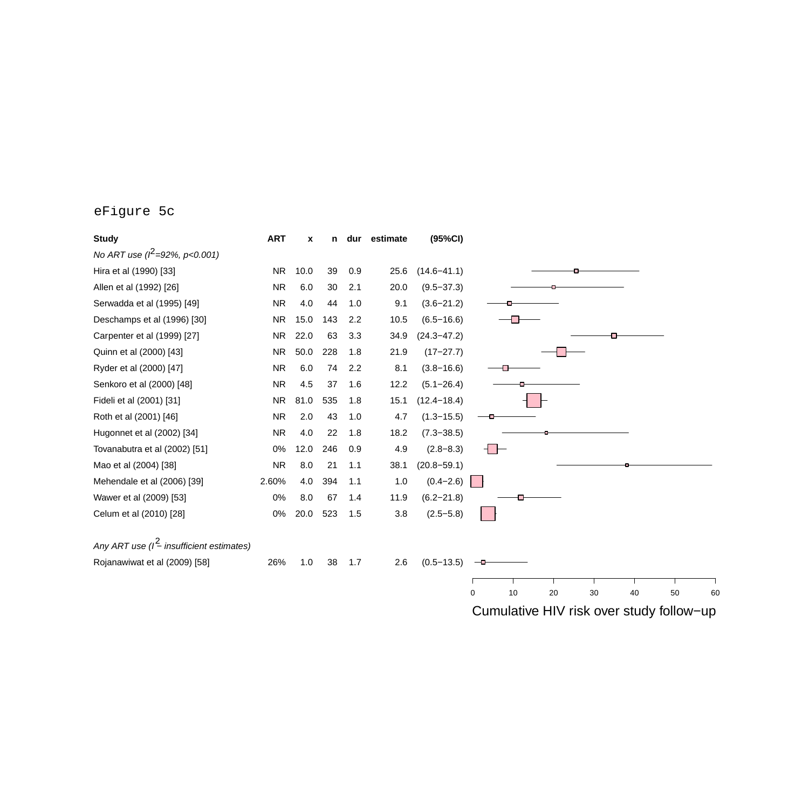### eFigure 5c

| <b>Study</b>                                 | <b>ART</b> | x    | n   |     | dur estimate | (95%CI)         |                                          |
|----------------------------------------------|------------|------|-----|-----|--------------|-----------------|------------------------------------------|
| No ART use ( $l^2$ =92%, p<0.001)            |            |      |     |     |              |                 |                                          |
| Hira et al (1990) [33]                       | <b>NR</b>  | 10.0 | 39  | 0.9 | 25.6         | $(14.6 - 41.1)$ |                                          |
| Allen et al (1992) [26]                      | <b>NR</b>  | 6.0  | 30  | 2.1 | 20.0         | $(9.5 - 37.3)$  |                                          |
| Serwadda et al (1995) [49]                   | <b>NR</b>  | 4.0  | 44  | 1.0 | 9.1          | $(3.6 - 21.2)$  |                                          |
| Deschamps et al (1996) [30]                  | <b>NR</b>  | 15.0 | 143 | 2.2 | 10.5         | $(6.5 - 16.6)$  |                                          |
| Carpenter et al (1999) [27]                  | NR.        | 22.0 | 63  | 3.3 | 34.9         | $(24.3 - 47.2)$ |                                          |
| Quinn et al (2000) [43]                      | NR.        | 50.0 | 228 | 1.8 | 21.9         | $(17-27.7)$     |                                          |
| Ryder et al (2000) [47]                      | <b>NR</b>  | 6.0  | 74  | 2.2 | 8.1          | $(3.8 - 16.6)$  |                                          |
| Senkoro et al (2000) [48]                    | <b>NR</b>  | 4.5  | 37  | 1.6 | 12.2         | $(5.1 - 26.4)$  |                                          |
| Fideli et al (2001) [31]                     | NR.        | 81.0 | 535 | 1.8 | 15.1         | $(12.4 - 18.4)$ |                                          |
| Roth et al (2001) [46]                       | <b>NR</b>  | 2.0  | 43  | 1.0 | 4.7          | $(1.3 - 15.5)$  |                                          |
| Hugonnet et al (2002) [34]                   | <b>NR</b>  | 4.0  | 22  | 1.8 | 18.2         | $(7.3 - 38.5)$  |                                          |
| Tovanabutra et al (2002) [51]                | 0%         | 12.0 | 246 | 0.9 | 4.9          | $(2.8 - 8.3)$   | ┨┣                                       |
| Mao et al (2004) [38]                        | <b>NR</b>  | 8.0  | 21  | 1.1 | 38.1         | $(20.8 - 59.1)$ |                                          |
| Mehendale et al (2006) [39]                  | 2.60%      | 4.0  | 394 | 1.1 | 1.0          | $(0.4 - 2.6)$   | L.                                       |
| Wawer et al (2009) [53]                      | 0%         | 8.0  | 67  | 1.4 | 11.9         | $(6.2 - 21.8)$  |                                          |
| Celum et al (2010) [28]                      | 0%         | 20.0 | 523 | 1.5 | 3.8          | $(2.5 - 5.8)$   |                                          |
| Any ART use $(l^2$ - insufficient estimates) |            |      |     |     |              |                 |                                          |
| Rojanawiwat et al (2009) [58]                | 26%        | 1.0  | 38  | 1.7 | 2.6          | $(0.5 - 13.5)$  |                                          |
|                                              |            |      |     |     |              |                 |                                          |
|                                              |            |      |     |     |              |                 | 10<br>20<br>30<br>40<br>50<br>0<br>60    |
|                                              |            |      |     |     |              |                 | Cumulative HIV risk over study follow-up |